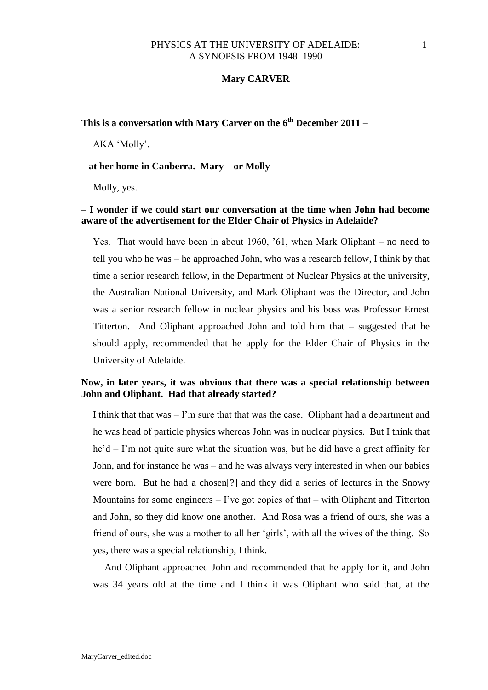**This is a conversation with Mary Carver on the 6th December 2011 –**

AKA 'Molly'.

**– at her home in Canberra. Mary – or Molly –**

Molly, yes.

# **– I wonder if we could start our conversation at the time when John had become aware of the advertisement for the Elder Chair of Physics in Adelaide?**

Yes. That would have been in about 1960, '61, when Mark Oliphant – no need to tell you who he was – he approached John, who was a research fellow, I think by that time a senior research fellow, in the Department of Nuclear Physics at the university, the Australian National University, and Mark Oliphant was the Director, and John was a senior research fellow in nuclear physics and his boss was Professor Ernest Titterton. And Oliphant approached John and told him that – suggested that he should apply, recommended that he apply for the Elder Chair of Physics in the University of Adelaide.

# **Now, in later years, it was obvious that there was a special relationship between John and Oliphant. Had that already started?**

I think that that was – I'm sure that that was the case. Oliphant had a department and he was head of particle physics whereas John was in nuclear physics. But I think that he'd – I'm not quite sure what the situation was, but he did have a great affinity for John, and for instance he was – and he was always very interested in when our babies were born. But he had a chosen[?] and they did a series of lectures in the Snowy Mountains for some engineers  $-$  I've got copies of that  $-$  with Oliphant and Titterton and John, so they did know one another. And Rosa was a friend of ours, she was a friend of ours, she was a mother to all her 'girls', with all the wives of the thing. So yes, there was a special relationship, I think.

And Oliphant approached John and recommended that he apply for it, and John was 34 years old at the time and I think it was Oliphant who said that, at the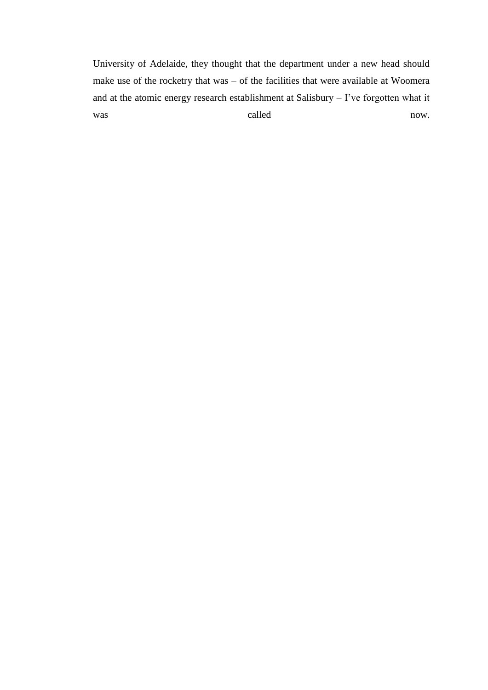University of Adelaide, they thought that the department under a new head should make use of the rocketry that was – of the facilities that were available at Woomera and at the atomic energy research establishment at Salisbury – I've forgotten what it was called now.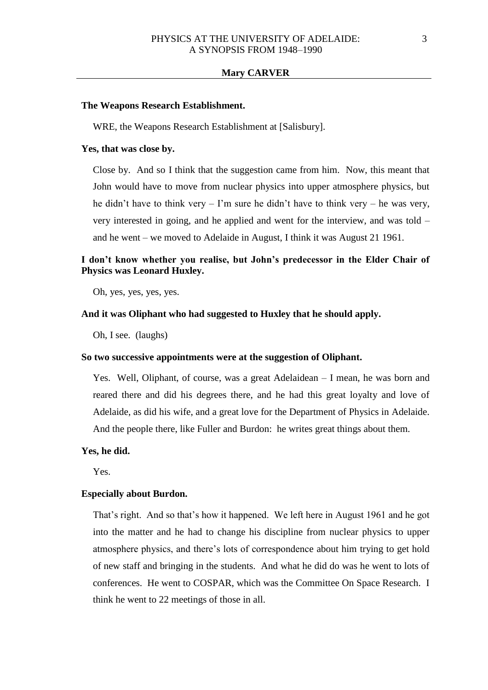#### **The Weapons Research Establishment.**

WRE, the Weapons Research Establishment at [Salisbury].

## **Yes, that was close by.**

Close by. And so I think that the suggestion came from him. Now, this meant that John would have to move from nuclear physics into upper atmosphere physics, but he didn't have to think very  $-1$ 'm sure he didn't have to think very  $-$  he was very, very interested in going, and he applied and went for the interview, and was told – and he went – we moved to Adelaide in August, I think it was August 21 1961.

# **I don't know whether you realise, but John's predecessor in the Elder Chair of Physics was Leonard Huxley.**

Oh, yes, yes, yes, yes.

### **And it was Oliphant who had suggested to Huxley that he should apply.**

Oh, I see. (laughs)

## **So two successive appointments were at the suggestion of Oliphant.**

Yes. Well, Oliphant, of course, was a great Adelaidean – I mean, he was born and reared there and did his degrees there, and he had this great loyalty and love of Adelaide, as did his wife, and a great love for the Department of Physics in Adelaide. And the people there, like Fuller and Burdon: he writes great things about them.

### **Yes, he did.**

Yes.

#### **Especially about Burdon.**

That's right. And so that's how it happened. We left here in August 1961 and he got into the matter and he had to change his discipline from nuclear physics to upper atmosphere physics, and there's lots of correspondence about him trying to get hold of new staff and bringing in the students. And what he did do was he went to lots of conferences. He went to COSPAR, which was the Committee On Space Research. I think he went to 22 meetings of those in all.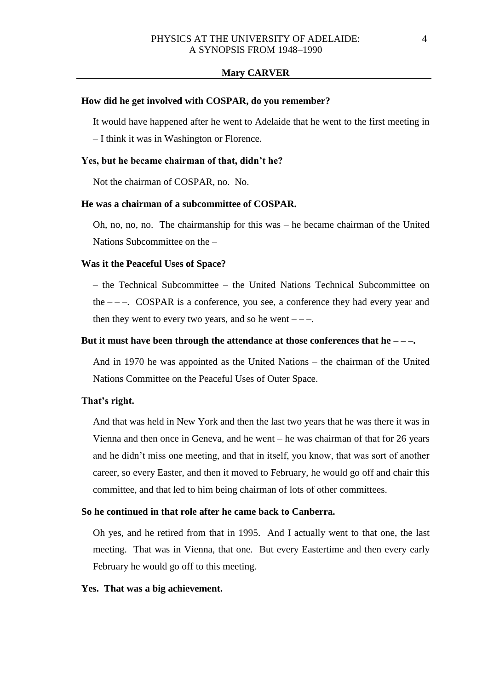#### **How did he get involved with COSPAR, do you remember?**

It would have happened after he went to Adelaide that he went to the first meeting in

– I think it was in Washington or Florence.

#### **Yes, but he became chairman of that, didn't he?**

Not the chairman of COSPAR, no. No.

# **He was a chairman of a subcommittee of COSPAR.**

Oh, no, no, no. The chairmanship for this was – he became chairman of the United Nations Subcommittee on the –

### **Was it the Peaceful Uses of Space?**

– the Technical Subcommittee – the United Nations Technical Subcommittee on the  $---$ . COSPAR is a conference, you see, a conference they had every year and then they went to every two years, and so he went  $---$ .

### **But it must have been through the attendance at those conferences that he – – –.**

And in 1970 he was appointed as the United Nations – the chairman of the United Nations Committee on the Peaceful Uses of Outer Space.

### **That's right.**

And that was held in New York and then the last two years that he was there it was in Vienna and then once in Geneva, and he went – he was chairman of that for 26 years and he didn't miss one meeting, and that in itself, you know, that was sort of another career, so every Easter, and then it moved to February, he would go off and chair this committee, and that led to him being chairman of lots of other committees.

### **So he continued in that role after he came back to Canberra.**

Oh yes, and he retired from that in 1995. And I actually went to that one, the last meeting. That was in Vienna, that one. But every Eastertime and then every early February he would go off to this meeting.

### **Yes. That was a big achievement.**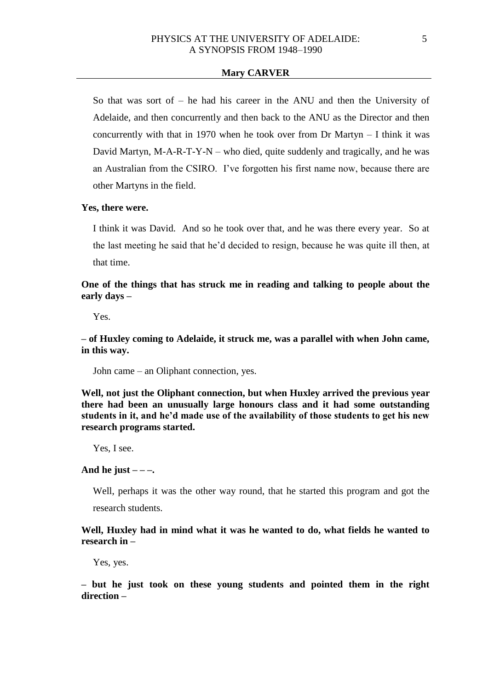So that was sort of – he had his career in the ANU and then the University of Adelaide, and then concurrently and then back to the ANU as the Director and then concurrently with that in 1970 when he took over from Dr Martyn  $-$  I think it was David Martyn,  $M-A-R-T-Y-N$  – who died, quite suddenly and tragically, and he was an Australian from the CSIRO. I've forgotten his first name now, because there are other Martyns in the field.

## **Yes, there were.**

I think it was David. And so he took over that, and he was there every year. So at the last meeting he said that he'd decided to resign, because he was quite ill then, at that time.

**One of the things that has struck me in reading and talking to people about the early days –**

Yes.

**– of Huxley coming to Adelaide, it struck me, was a parallel with when John came, in this way.**

John came – an Oliphant connection, yes.

**Well, not just the Oliphant connection, but when Huxley arrived the previous year there had been an unusually large honours class and it had some outstanding students in it, and he'd made use of the availability of those students to get his new research programs started.**

Yes, I see.

## And he just  $---$

Well, perhaps it was the other way round, that he started this program and got the research students.

**Well, Huxley had in mind what it was he wanted to do, what fields he wanted to research in –**

Yes, yes.

**– but he just took on these young students and pointed them in the right direction –**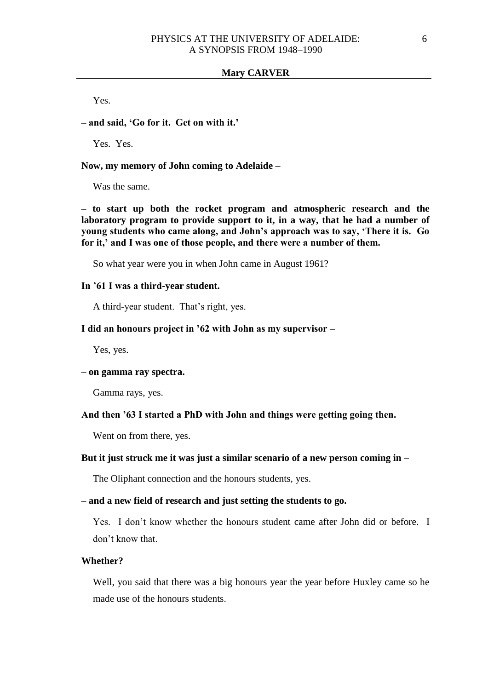Yes.

# **– and said, 'Go for it. Get on with it.'**

Yes. Yes.

### **Now, my memory of John coming to Adelaide –**

Was the same.

**– to start up both the rocket program and atmospheric research and the laboratory program to provide support to it, in a way, that he had a number of young students who came along, and John's approach was to say, 'There it is. Go for it,' and I was one of those people, and there were a number of them.**

So what year were you in when John came in August 1961?

## **In '61 I was a third-year student.**

A third-year student. That's right, yes.

### **I did an honours project in '62 with John as my supervisor –**

Yes, yes.

## **– on gamma ray spectra.**

Gamma rays, yes.

#### **And then '63 I started a PhD with John and things were getting going then.**

Went on from there, yes.

### **But it just struck me it was just a similar scenario of a new person coming in –**

The Oliphant connection and the honours students, yes.

## **– and a new field of research and just setting the students to go.**

Yes. I don't know whether the honours student came after John did or before. I don't know that.

## **Whether?**

Well, you said that there was a big honours year the year before Huxley came so he made use of the honours students.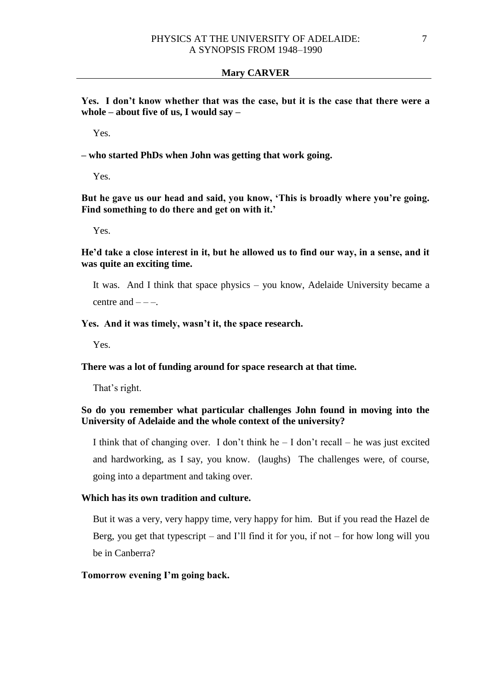**Yes. I don't know whether that was the case, but it is the case that there were a whole – about five of us, I would say –**

Yes.

**– who started PhDs when John was getting that work going.**

Yes.

**But he gave us our head and said, you know, 'This is broadly where you're going. Find something to do there and get on with it.'**

Yes.

**He'd take a close interest in it, but he allowed us to find our way, in a sense, and it was quite an exciting time.** 

It was. And I think that space physics – you know, Adelaide University became a centre and  $---$ 

# **Yes. And it was timely, wasn't it, the space research.**

Yes.

## **There was a lot of funding around for space research at that time.**

That's right.

# **So do you remember what particular challenges John found in moving into the University of Adelaide and the whole context of the university?**

I think that of changing over. I don't think he  $- I$  don't recall  $-$  he was just excited and hardworking, as I say, you know. (laughs) The challenges were, of course, going into a department and taking over.

# **Which has its own tradition and culture.**

But it was a very, very happy time, very happy for him. But if you read the Hazel de Berg, you get that typescript – and I'll find it for you, if not – for how long will you be in Canberra?

## **Tomorrow evening I'm going back.**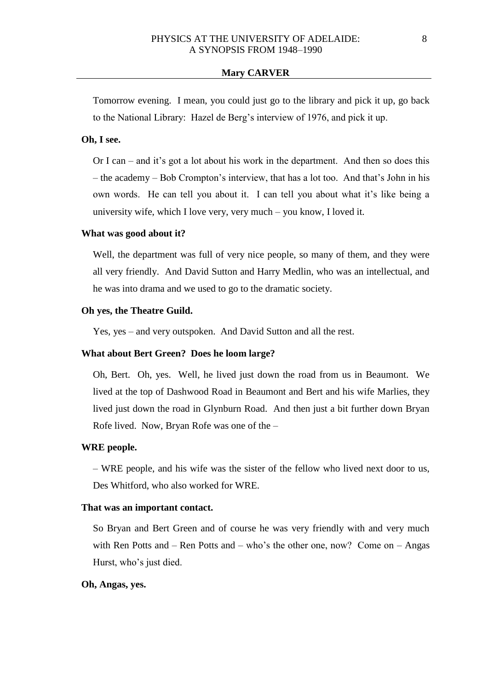Tomorrow evening. I mean, you could just go to the library and pick it up, go back to the National Library: Hazel de Berg's interview of 1976, and pick it up.

# **Oh, I see.**

Or I can – and it's got a lot about his work in the department. And then so does this – the academy – Bob Crompton's interview, that has a lot too. And that's John in his own words. He can tell you about it. I can tell you about what it's like being a university wife, which I love very, very much – you know, I loved it.

### **What was good about it?**

Well, the department was full of very nice people, so many of them, and they were all very friendly. And David Sutton and Harry Medlin, who was an intellectual, and he was into drama and we used to go to the dramatic society.

### **Oh yes, the Theatre Guild.**

Yes, yes – and very outspoken. And David Sutton and all the rest.

### **What about Bert Green? Does he loom large?**

Oh, Bert. Oh, yes. Well, he lived just down the road from us in Beaumont. We lived at the top of Dashwood Road in Beaumont and Bert and his wife Marlies, they lived just down the road in Glynburn Road. And then just a bit further down Bryan Rofe lived. Now, Bryan Rofe was one of the –

### **WRE people.**

– WRE people, and his wife was the sister of the fellow who lived next door to us, Des Whitford, who also worked for WRE.

### **That was an important contact.**

So Bryan and Bert Green and of course he was very friendly with and very much with Ren Potts and – Ren Potts and – who's the other one, now? Come on – Angas Hurst, who's just died.

#### **Oh, Angas, yes.**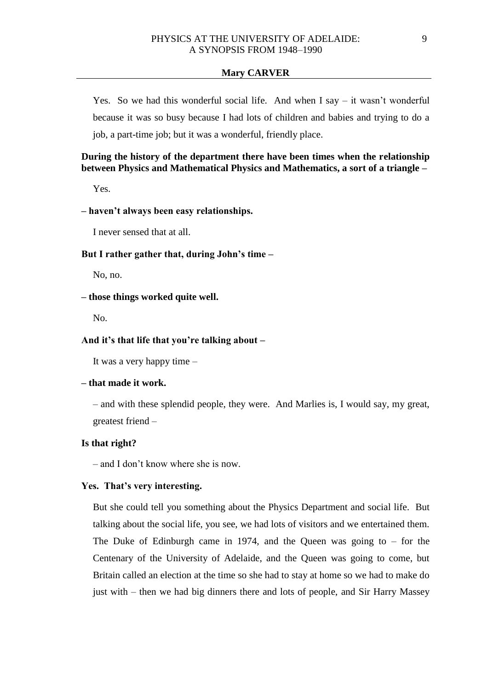Yes. So we had this wonderful social life. And when I say – it wasn't wonderful because it was so busy because I had lots of children and babies and trying to do a job, a part-time job; but it was a wonderful, friendly place.

# **During the history of the department there have been times when the relationship between Physics and Mathematical Physics and Mathematics, a sort of a triangle –**

Yes.

# **– haven't always been easy relationships.**

I never sensed that at all.

## **But I rather gather that, during John's time –**

No, no.

## **– those things worked quite well.**

No.

## **And it's that life that you're talking about –**

It was a very happy time –

## **– that made it work.**

– and with these splendid people, they were. And Marlies is, I would say, my great, greatest friend –

### **Is that right?**

– and I don't know where she is now.

# **Yes. That's very interesting.**

But she could tell you something about the Physics Department and social life. But talking about the social life, you see, we had lots of visitors and we entertained them. The Duke of Edinburgh came in 1974, and the Queen was going to  $-$  for the Centenary of the University of Adelaide, and the Queen was going to come, but Britain called an election at the time so she had to stay at home so we had to make do just with – then we had big dinners there and lots of people, and Sir Harry Massey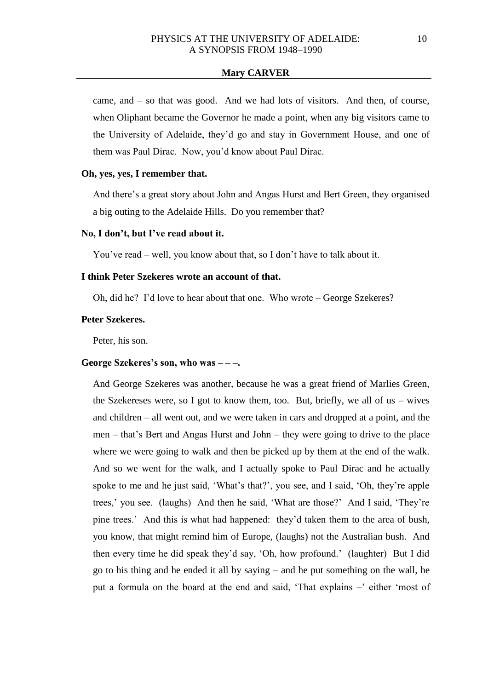came, and – so that was good. And we had lots of visitors. And then, of course, when Oliphant became the Governor he made a point, when any big visitors came to the University of Adelaide, they'd go and stay in Government House, and one of them was Paul Dirac. Now, you'd know about Paul Dirac.

# **Oh, yes, yes, I remember that.**

And there's a great story about John and Angas Hurst and Bert Green, they organised a big outing to the Adelaide Hills. Do you remember that?

### **No, I don't, but I've read about it.**

You've read – well, you know about that, so I don't have to talk about it.

### **I think Peter Szekeres wrote an account of that.**

Oh, did he? I'd love to hear about that one. Who wrote – George Szekeres?

## **Peter Szekeres.**

Peter, his son.

# **George Szekeres's son, who was – – –.**

And George Szekeres was another, because he was a great friend of Marlies Green, the Szekereses were, so I got to know them, too. But, briefly, we all of us – wives and children – all went out, and we were taken in cars and dropped at a point, and the men – that's Bert and Angas Hurst and John – they were going to drive to the place where we were going to walk and then be picked up by them at the end of the walk. And so we went for the walk, and I actually spoke to Paul Dirac and he actually spoke to me and he just said, 'What's that?', you see, and I said, 'Oh, they're apple trees,' you see. (laughs) And then he said, 'What are those?' And I said, 'They're pine trees.' And this is what had happened: they'd taken them to the area of bush, you know, that might remind him of Europe, (laughs) not the Australian bush. And then every time he did speak they'd say, 'Oh, how profound.' (laughter) But I did go to his thing and he ended it all by saying – and he put something on the wall, he put a formula on the board at the end and said, 'That explains –' either 'most of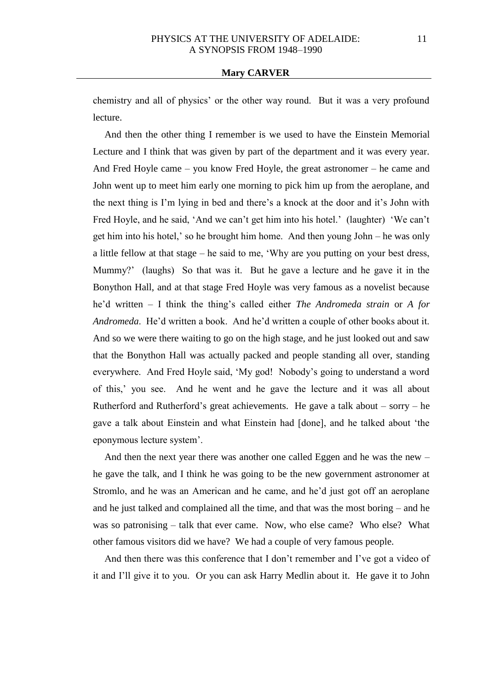chemistry and all of physics' or the other way round. But it was a very profound lecture.

And then the other thing I remember is we used to have the Einstein Memorial Lecture and I think that was given by part of the department and it was every year. And Fred Hoyle came – you know Fred Hoyle, the great astronomer – he came and John went up to meet him early one morning to pick him up from the aeroplane, and the next thing is I'm lying in bed and there's a knock at the door and it's John with Fred Hoyle, and he said, 'And we can't get him into his hotel.' (laughter) 'We can't get him into his hotel,' so he brought him home. And then young John – he was only a little fellow at that stage – he said to me, 'Why are you putting on your best dress, Mummy?' (laughs) So that was it. But he gave a lecture and he gave it in the Bonython Hall, and at that stage Fred Hoyle was very famous as a novelist because he'd written – I think the thing's called either *The Andromeda strain* or *A for Andromeda*. He'd written a book. And he'd written a couple of other books about it. And so we were there waiting to go on the high stage, and he just looked out and saw that the Bonython Hall was actually packed and people standing all over, standing everywhere. And Fred Hoyle said, 'My god! Nobody's going to understand a word of this,' you see. And he went and he gave the lecture and it was all about Rutherford and Rutherford's great achievements. He gave a talk about – sorry – he gave a talk about Einstein and what Einstein had [done], and he talked about 'the eponymous lecture system'.

And then the next year there was another one called Eggen and he was the new – he gave the talk, and I think he was going to be the new government astronomer at Stromlo, and he was an American and he came, and he'd just got off an aeroplane and he just talked and complained all the time, and that was the most boring – and he was so patronising – talk that ever came. Now, who else came? Who else? What other famous visitors did we have? We had a couple of very famous people.

And then there was this conference that I don't remember and I've got a video of it and I'll give it to you. Or you can ask Harry Medlin about it. He gave it to John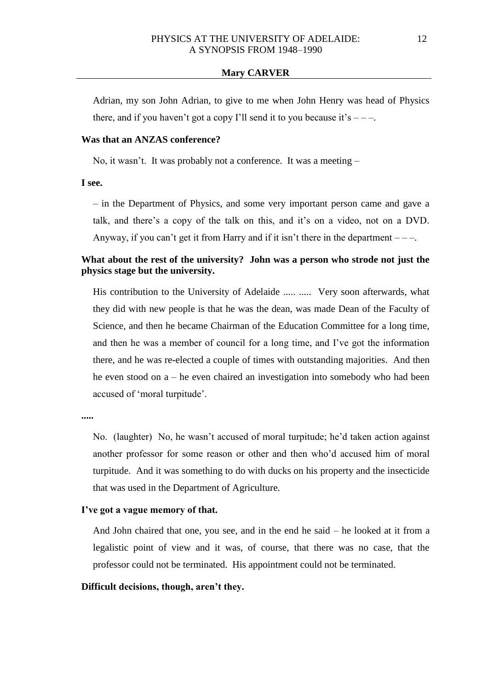Adrian, my son John Adrian, to give to me when John Henry was head of Physics there, and if you haven't got a copy I'll send it to you because it's  $---$ .

# **Was that an ANZAS conference?**

No, it wasn't. It was probably not a conference. It was a meeting –

**I see.**

– in the Department of Physics, and some very important person came and gave a talk, and there's a copy of the talk on this, and it's on a video, not on a DVD. Anyway, if you can't get it from Harry and if it isn't there in the department  $---$ .

# **What about the rest of the university? John was a person who strode not just the physics stage but the university.**

His contribution to the University of Adelaide ..... ..... Very soon afterwards, what they did with new people is that he was the dean, was made Dean of the Faculty of Science, and then he became Chairman of the Education Committee for a long time, and then he was a member of council for a long time, and I've got the information there, and he was re-elected a couple of times with outstanding majorities. And then he even stood on a – he even chaired an investigation into somebody who had been accused of 'moral turpitude'.

**.....**

No. (laughter) No, he wasn't accused of moral turpitude; he'd taken action against another professor for some reason or other and then who'd accused him of moral turpitude. And it was something to do with ducks on his property and the insecticide that was used in the Department of Agriculture.

#### **I've got a vague memory of that.**

And John chaired that one, you see, and in the end he said – he looked at it from a legalistic point of view and it was, of course, that there was no case, that the professor could not be terminated. His appointment could not be terminated.

## **Difficult decisions, though, aren't they.**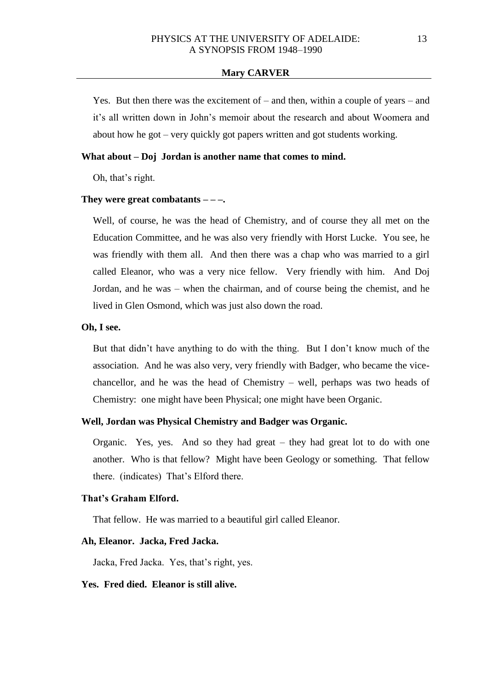Yes. But then there was the excitement of – and then, within a couple of years – and it's all written down in John's memoir about the research and about Woomera and about how he got – very quickly got papers written and got students working.

## **What about – Doj Jordan is another name that comes to mind.**

Oh, that's right.

#### **They were great combatants – – –.**

Well, of course, he was the head of Chemistry, and of course they all met on the Education Committee, and he was also very friendly with Horst Lucke. You see, he was friendly with them all. And then there was a chap who was married to a girl called Eleanor, who was a very nice fellow. Very friendly with him. And Doj Jordan, and he was – when the chairman, and of course being the chemist, and he lived in Glen Osmond, which was just also down the road.

### **Oh, I see.**

But that didn't have anything to do with the thing. But I don't know much of the association. And he was also very, very friendly with Badger, who became the vicechancellor, and he was the head of Chemistry – well, perhaps was two heads of Chemistry: one might have been Physical; one might have been Organic.

## **Well, Jordan was Physical Chemistry and Badger was Organic.**

Organic. Yes, yes. And so they had great – they had great lot to do with one another. Who is that fellow? Might have been Geology or something. That fellow there. (indicates) That's Elford there.

### **That's Graham Elford.**

That fellow. He was married to a beautiful girl called Eleanor.

#### **Ah, Eleanor. Jacka, Fred Jacka.**

Jacka, Fred Jacka. Yes, that's right, yes.

### **Yes. Fred died. Eleanor is still alive.**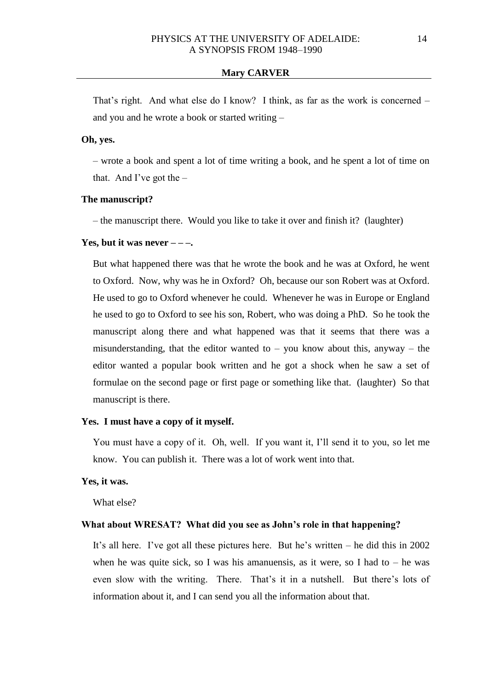That's right. And what else do I know? I think, as far as the work is concerned – and you and he wrote a book or started writing –

# **Oh, yes.**

– wrote a book and spent a lot of time writing a book, and he spent a lot of time on that. And I've got the  $-$ 

#### **The manuscript?**

– the manuscript there. Would you like to take it over and finish it? (laughter)

#### **Yes, but it was never**  $---$

But what happened there was that he wrote the book and he was at Oxford, he went to Oxford. Now, why was he in Oxford? Oh, because our son Robert was at Oxford. He used to go to Oxford whenever he could. Whenever he was in Europe or England he used to go to Oxford to see his son, Robert, who was doing a PhD. So he took the manuscript along there and what happened was that it seems that there was a misunderstanding, that the editor wanted to  $-$  you know about this, anyway  $-$  the editor wanted a popular book written and he got a shock when he saw a set of formulae on the second page or first page or something like that. (laughter) So that manuscript is there.

### **Yes. I must have a copy of it myself.**

You must have a copy of it. Oh, well. If you want it, I'll send it to you, so let me know. You can publish it. There was a lot of work went into that.

### **Yes, it was.**

What else?

#### **What about WRESAT? What did you see as John's role in that happening?**

It's all here. I've got all these pictures here. But he's written – he did this in 2002 when he was quite sick, so I was his amanuensis, as it were, so I had to  $-$  he was even slow with the writing. There. That's it in a nutshell. But there's lots of information about it, and I can send you all the information about that.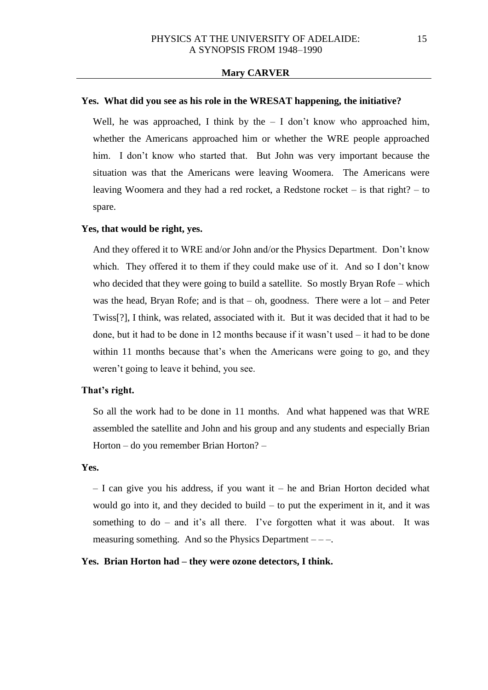### **Yes. What did you see as his role in the WRESAT happening, the initiative?**

Well, he was approached, I think by the  $-$  I don't know who approached him, whether the Americans approached him or whether the WRE people approached him. I don't know who started that. But John was very important because the situation was that the Americans were leaving Woomera. The Americans were leaving Woomera and they had a red rocket, a Redstone rocket – is that right? – to spare.

## **Yes, that would be right, yes.**

And they offered it to WRE and/or John and/or the Physics Department. Don't know which. They offered it to them if they could make use of it. And so I don't know who decided that they were going to build a satellite. So mostly Bryan Rofe – which was the head, Bryan Rofe; and is that  $-$  oh, goodness. There were a lot  $-$  and Peter Twiss[?], I think, was related, associated with it. But it was decided that it had to be done, but it had to be done in 12 months because if it wasn't used – it had to be done within 11 months because that's when the Americans were going to go, and they weren't going to leave it behind, you see.

# **That's right.**

So all the work had to be done in 11 months. And what happened was that WRE assembled the satellite and John and his group and any students and especially Brian Horton – do you remember Brian Horton? –

### **Yes.**

 $-$  I can give you his address, if you want it – he and Brian Horton decided what would go into it, and they decided to build – to put the experiment in it, and it was something to do – and it's all there. I've forgotten what it was about. It was measuring something. And so the Physics Department – – –.

#### **Yes. Brian Horton had – they were ozone detectors, I think.**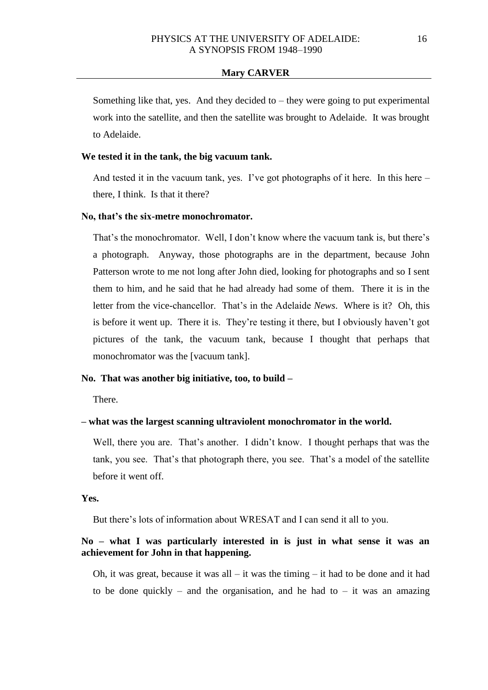Something like that, yes. And they decided to  $-$  they were going to put experimental work into the satellite, and then the satellite was brought to Adelaide. It was brought to Adelaide.

## **We tested it in the tank, the big vacuum tank.**

And tested it in the vacuum tank, yes. I've got photographs of it here. In this here – there, I think. Is that it there?

### **No, that's the six-metre monochromator.**

That's the monochromator. Well, I don't know where the vacuum tank is, but there's a photograph. Anyway, those photographs are in the department, because John Patterson wrote to me not long after John died, looking for photographs and so I sent them to him, and he said that he had already had some of them. There it is in the letter from the vice-chancellor. That's in the Adelaide *News*. Where is it? Oh, this is before it went up. There it is. They're testing it there, but I obviously haven't got pictures of the tank, the vacuum tank, because I thought that perhaps that monochromator was the [vacuum tank].

# **No. That was another big initiative, too, to build –**

There.

## **– what was the largest scanning ultraviolent monochromator in the world.**

Well, there you are. That's another. I didn't know. I thought perhaps that was the tank, you see. That's that photograph there, you see. That's a model of the satellite before it went off.

**Yes.** 

But there's lots of information about WRESAT and I can send it all to you.

# **No – what I was particularly interested in is just in what sense it was an achievement for John in that happening.**

Oh, it was great, because it was all – it was the timing – it had to be done and it had to be done quickly – and the organisation, and he had to – it was an amazing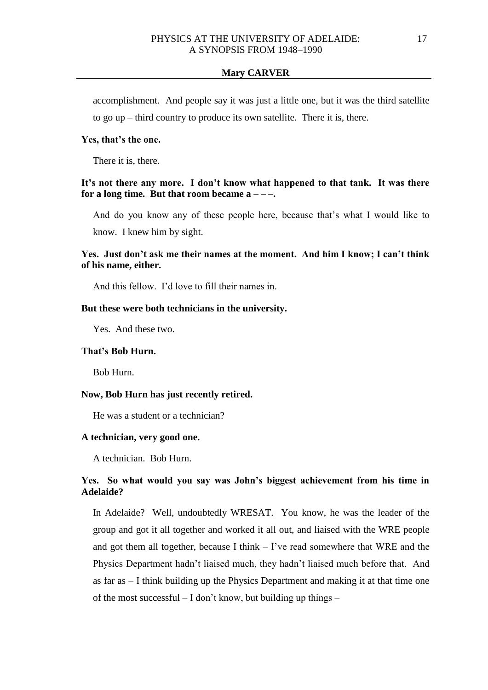accomplishment. And people say it was just a little one, but it was the third satellite to go up – third country to produce its own satellite. There it is, there.

# **Yes, that's the one.**

There it is, there.

# **It's not there any more. I don't know what happened to that tank. It was there for a long time. But that room became**  $a = -\frac{1}{\epsilon}$ **.**

And do you know any of these people here, because that's what I would like to know. I knew him by sight.

# **Yes. Just don't ask me their names at the moment. And him I know; I can't think of his name, either.**

And this fellow. I'd love to fill their names in.

## **But these were both technicians in the university.**

Yes. And these two.

# **That's Bob Hurn.**

Bob Hurn.

### **Now, Bob Hurn has just recently retired.**

He was a student or a technician?

## **A technician, very good one.**

A technician. Bob Hurn.

# **Yes. So what would you say was John's biggest achievement from his time in Adelaide?**

In Adelaide? Well, undoubtedly WRESAT. You know, he was the leader of the group and got it all together and worked it all out, and liaised with the WRE people and got them all together, because I think – I've read somewhere that WRE and the Physics Department hadn't liaised much, they hadn't liaised much before that. And as far as – I think building up the Physics Department and making it at that time one of the most successful – I don't know, but building up things –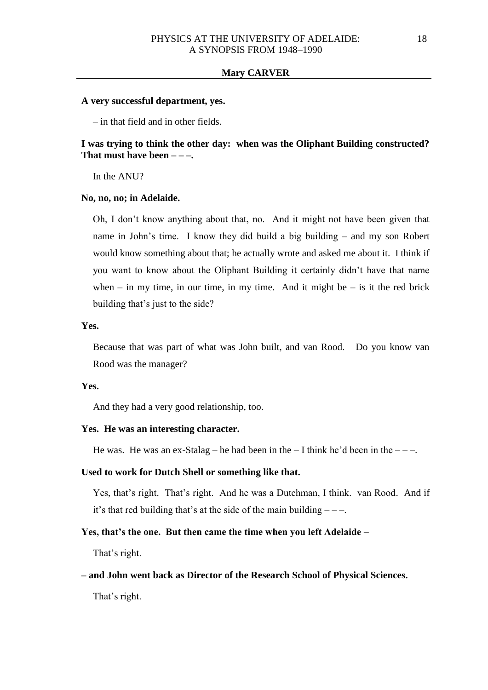#### **A very successful department, yes.**

– in that field and in other fields.

# **I was trying to think the other day: when was the Oliphant Building constructed? That must have been – – –.**

In the ANU?

#### **No, no, no; in Adelaide.**

Oh, I don't know anything about that, no. And it might not have been given that name in John's time. I know they did build a big building – and my son Robert would know something about that; he actually wrote and asked me about it. I think if you want to know about the Oliphant Building it certainly didn't have that name when – in my time, in our time, in my time. And it might be – is it the red brick building that's just to the side?

#### **Yes.**

Because that was part of what was John built, and van Rood. Do you know van Rood was the manager?

#### **Yes.**

And they had a very good relationship, too.

### **Yes. He was an interesting character.**

He was. He was an ex-Stalag – he had been in the  $-1$  think he'd been in the  $-$  –.

### **Used to work for Dutch Shell or something like that.**

Yes, that's right. That's right. And he was a Dutchman, I think. van Rood. And if it's that red building that's at the side of the main building  $---$ .

#### **Yes, that's the one. But then came the time when you left Adelaide –**

That's right.

#### **– and John went back as Director of the Research School of Physical Sciences.**

That's right.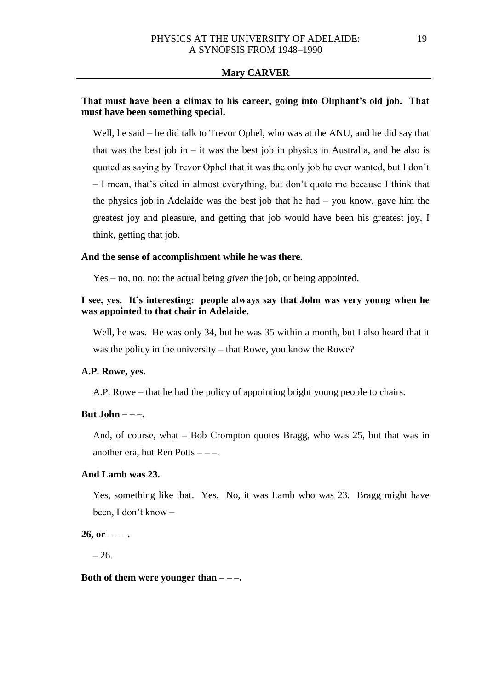# **That must have been a climax to his career, going into Oliphant's old job. That must have been something special.**

Well, he said – he did talk to Trevor Ophel, who was at the ANU, and he did say that that was the best job in  $-$  it was the best job in physics in Australia, and he also is quoted as saying by Trevor Ophel that it was the only job he ever wanted, but I don't – I mean, that's cited in almost everything, but don't quote me because I think that the physics job in Adelaide was the best job that he had – you know, gave him the greatest joy and pleasure, and getting that job would have been his greatest joy, I think, getting that job.

### **And the sense of accomplishment while he was there.**

Yes – no, no, no; the actual being *given* the job, or being appointed.

# **I see, yes. It's interesting: people always say that John was very young when he was appointed to that chair in Adelaide.**

Well, he was. He was only 34, but he was 35 within a month, but I also heard that it was the policy in the university – that Rowe, you know the Rowe?

# **A.P. Rowe, yes.**

A.P. Rowe – that he had the policy of appointing bright young people to chairs.

#### **But John – – –.**

And, of course, what – Bob Crompton quotes Bragg, who was 25, but that was in another era, but Ren Potts  $---$ .

### **And Lamb was 23.**

Yes, something like that. Yes. No, it was Lamb who was 23. Bragg might have been, I don't know –

### $26$ , or  $---$

 $-26.$ 

## **Both of them were younger than – – –.**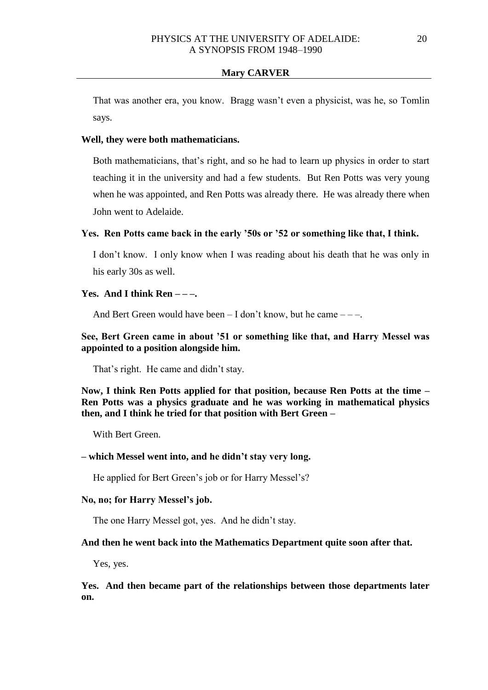That was another era, you know. Bragg wasn't even a physicist, was he, so Tomlin says.

## **Well, they were both mathematicians.**

Both mathematicians, that's right, and so he had to learn up physics in order to start teaching it in the university and had a few students. But Ren Potts was very young when he was appointed, and Ren Potts was already there. He was already there when John went to Adelaide.

#### **Yes. Ren Potts came back in the early '50s or '52 or something like that, I think.**

I don't know. I only know when I was reading about his death that he was only in his early 30s as well.

#### **Yes. And I think Ren – – –.**

And Bert Green would have been  $- I$  don't know, but he came  $--$ .

# **See, Bert Green came in about '51 or something like that, and Harry Messel was appointed to a position alongside him.**

That's right. He came and didn't stay.

**Now, I think Ren Potts applied for that position, because Ren Potts at the time – Ren Potts was a physics graduate and he was working in mathematical physics then, and I think he tried for that position with Bert Green –**

With Bert Green.

### **– which Messel went into, and he didn't stay very long.**

He applied for Bert Green's job or for Harry Messel's?

### **No, no; for Harry Messel's job.**

The one Harry Messel got, yes. And he didn't stay.

### **And then he went back into the Mathematics Department quite soon after that.**

Yes, yes.

**Yes. And then became part of the relationships between those departments later on.**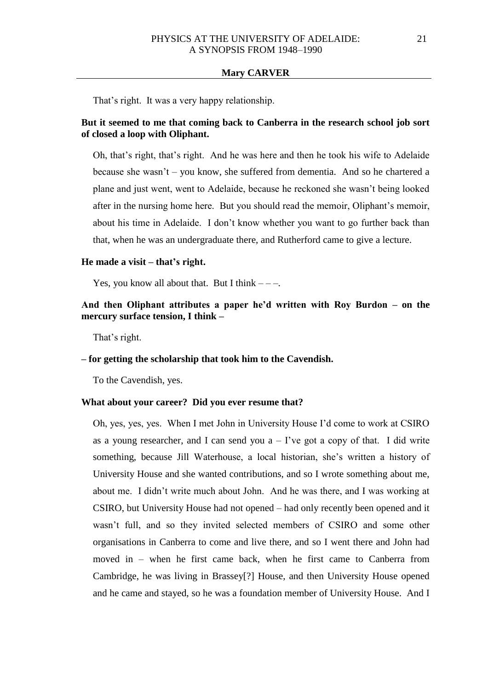That's right. It was a very happy relationship.

# **But it seemed to me that coming back to Canberra in the research school job sort of closed a loop with Oliphant.**

Oh, that's right, that's right. And he was here and then he took his wife to Adelaide because she wasn't – you know, she suffered from dementia. And so he chartered a plane and just went, went to Adelaide, because he reckoned she wasn't being looked after in the nursing home here. But you should read the memoir, Oliphant's memoir, about his time in Adelaide. I don't know whether you want to go further back than that, when he was an undergraduate there, and Rutherford came to give a lecture.

#### **He made a visit – that's right.**

Yes, you know all about that. But I think  $---$ .

# **And then Oliphant attributes a paper he'd written with Roy Burdon – on the mercury surface tension, I think –**

That's right.

### **– for getting the scholarship that took him to the Cavendish.**

To the Cavendish, yes.

### **What about your career? Did you ever resume that?**

Oh, yes, yes, yes. When I met John in University House I'd come to work at CSIRO as a young researcher, and I can send you  $a - I'$ ve got a copy of that. I did write something, because Jill Waterhouse, a local historian, she's written a history of University House and she wanted contributions, and so I wrote something about me, about me. I didn't write much about John. And he was there, and I was working at CSIRO, but University House had not opened – had only recently been opened and it wasn't full, and so they invited selected members of CSIRO and some other organisations in Canberra to come and live there, and so I went there and John had moved in – when he first came back, when he first came to Canberra from Cambridge, he was living in Brassey[?] House, and then University House opened and he came and stayed, so he was a foundation member of University House. And I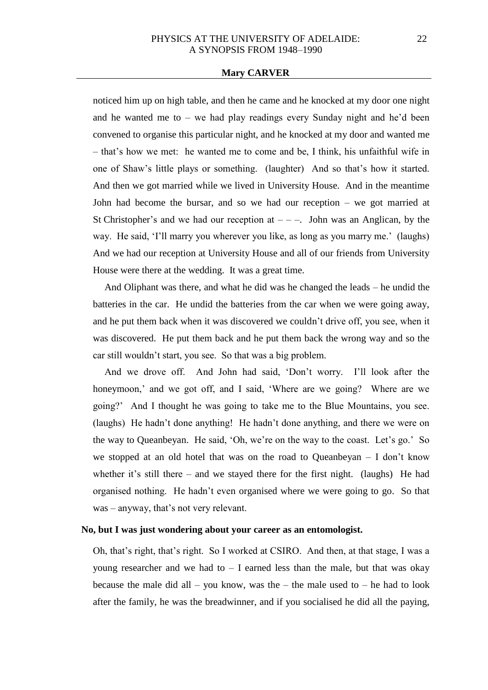noticed him up on high table, and then he came and he knocked at my door one night and he wanted me to – we had play readings every Sunday night and he'd been convened to organise this particular night, and he knocked at my door and wanted me – that's how we met: he wanted me to come and be, I think, his unfaithful wife in one of Shaw's little plays or something. (laughter) And so that's how it started. And then we got married while we lived in University House. And in the meantime John had become the bursar, and so we had our reception – we got married at St Christopher's and we had our reception at  $-$  –. John was an Anglican, by the way. He said, 'I'll marry you wherever you like, as long as you marry me.' (laughs) And we had our reception at University House and all of our friends from University House were there at the wedding. It was a great time.

And Oliphant was there, and what he did was he changed the leads – he undid the batteries in the car. He undid the batteries from the car when we were going away, and he put them back when it was discovered we couldn't drive off, you see, when it was discovered. He put them back and he put them back the wrong way and so the car still wouldn't start, you see. So that was a big problem.

And we drove off. And John had said, 'Don't worry. I'll look after the honeymoon,' and we got off, and I said, 'Where are we going? Where are we going?' And I thought he was going to take me to the Blue Mountains, you see. (laughs) He hadn't done anything! He hadn't done anything, and there we were on the way to Queanbeyan. He said, 'Oh, we're on the way to the coast. Let's go.' So we stopped at an old hotel that was on the road to Queanbeyan – I don't know whether it's still there – and we stayed there for the first night. (laughs) He had organised nothing. He hadn't even organised where we were going to go. So that was – anyway, that's not very relevant.

### **No, but I was just wondering about your career as an entomologist.**

Oh, that's right, that's right. So I worked at CSIRO. And then, at that stage, I was a young researcher and we had to  $-$  I earned less than the male, but that was okay because the male did all – you know, was the – the male used to – he had to look after the family, he was the breadwinner, and if you socialised he did all the paying,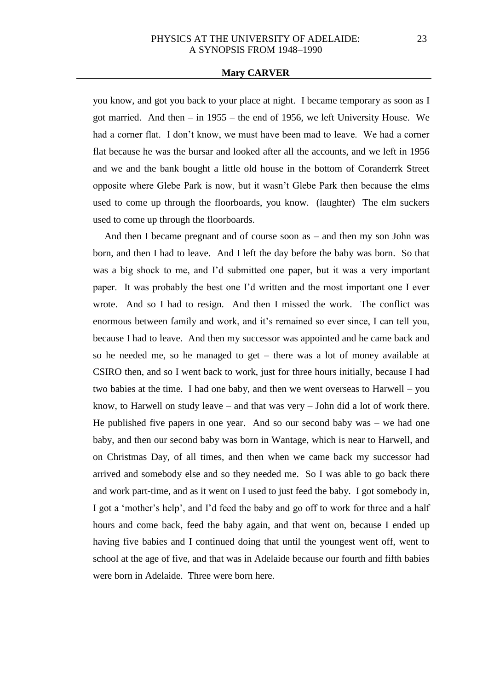you know, and got you back to your place at night. I became temporary as soon as I got married. And then – in 1955 – the end of 1956, we left University House. We had a corner flat. I don't know, we must have been mad to leave. We had a corner flat because he was the bursar and looked after all the accounts, and we left in 1956 and we and the bank bought a little old house in the bottom of Coranderrk Street opposite where Glebe Park is now, but it wasn't Glebe Park then because the elms used to come up through the floorboards, you know. (laughter) The elm suckers used to come up through the floorboards.

And then I became pregnant and of course soon as – and then my son John was born, and then I had to leave. And I left the day before the baby was born. So that was a big shock to me, and I'd submitted one paper, but it was a very important paper. It was probably the best one I'd written and the most important one I ever wrote. And so I had to resign. And then I missed the work. The conflict was enormous between family and work, and it's remained so ever since, I can tell you, because I had to leave. And then my successor was appointed and he came back and so he needed me, so he managed to get – there was a lot of money available at CSIRO then, and so I went back to work, just for three hours initially, because I had two babies at the time. I had one baby, and then we went overseas to Harwell – you know, to Harwell on study leave – and that was very – John did a lot of work there. He published five papers in one year. And so our second baby was – we had one baby, and then our second baby was born in Wantage, which is near to Harwell, and on Christmas Day, of all times, and then when we came back my successor had arrived and somebody else and so they needed me. So I was able to go back there and work part-time, and as it went on I used to just feed the baby. I got somebody in, I got a 'mother's help', and I'd feed the baby and go off to work for three and a half hours and come back, feed the baby again, and that went on, because I ended up having five babies and I continued doing that until the youngest went off, went to school at the age of five, and that was in Adelaide because our fourth and fifth babies were born in Adelaide. Three were born here.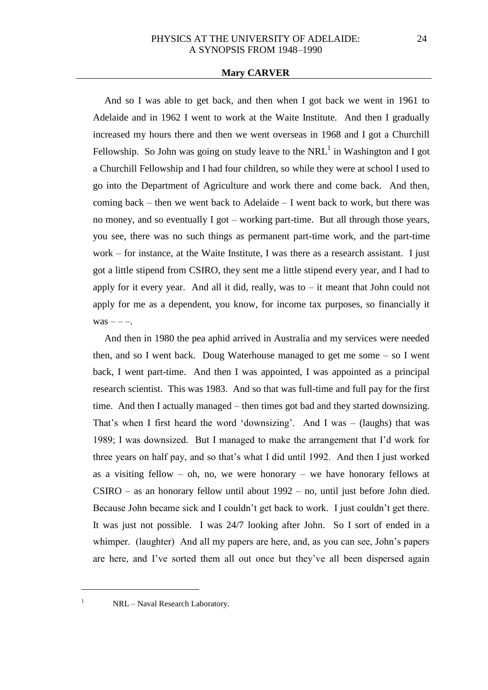And so I was able to get back, and then when I got back we went in 1961 to Adelaide and in 1962 I went to work at the Waite Institute. And then I gradually increased my hours there and then we went overseas in 1968 and I got a Churchill Fellowship. So John was going on study leave to the  $NRL<sup>1</sup>$  in Washington and I got a Churchill Fellowship and I had four children, so while they were at school I used to go into the Department of Agriculture and work there and come back. And then, coming back – then we went back to Adelaide – I went back to work, but there was no money, and so eventually I got – working part-time. But all through those years, you see, there was no such things as permanent part-time work, and the part-time work – for instance, at the Waite Institute, I was there as a research assistant. I just got a little stipend from CSIRO, they sent me a little stipend every year, and I had to apply for it every year. And all it did, really, was to  $-$  it meant that John could not apply for me as a dependent, you know, for income tax purposes, so financially it  $was -- -.$ 

And then in 1980 the pea aphid arrived in Australia and my services were needed then, and so I went back. Doug Waterhouse managed to get me some  $-$  so I went back, I went part-time. And then I was appointed, I was appointed as a principal research scientist. This was 1983. And so that was full-time and full pay for the first time. And then I actually managed – then times got bad and they started downsizing. That's when I first heard the word 'downsizing'. And I was – (laughs) that was 1989; I was downsized. But I managed to make the arrangement that I'd work for three years on half pay, and so that's what I did until 1992. And then I just worked as a visiting fellow – oh, no, we were honorary – we have honorary fellows at CSIRO – as an honorary fellow until about 1992 – no, until just before John died. Because John became sick and I couldn't get back to work. I just couldn't get there. It was just not possible. I was 24/7 looking after John. So I sort of ended in a whimper. (laughter) And all my papers are here, and, as you can see, John's papers are here, and I've sorted them all out once but they've all been dispersed again

<sup>1</sup> NRL – Naval Research Laboratory.

 $\overline{a}$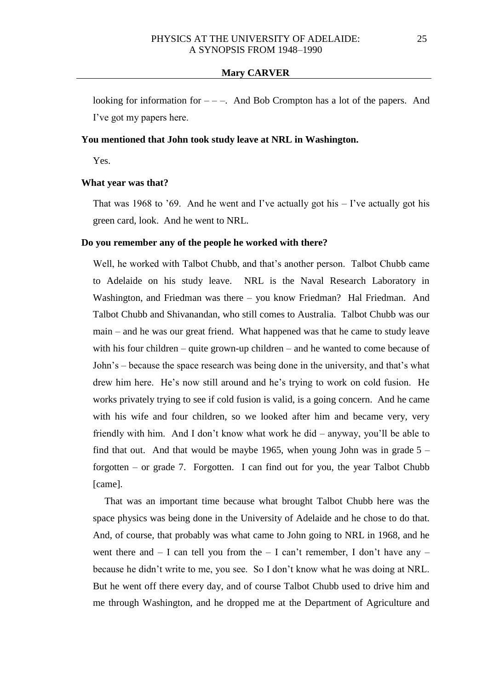looking for information for  $---$ . And Bob Crompton has a lot of the papers. And I've got my papers here.

# **You mentioned that John took study leave at NRL in Washington.**

Yes.

### **What year was that?**

That was 1968 to '69. And he went and I've actually got his  $-$  I've actually got his green card, look. And he went to NRL.

### **Do you remember any of the people he worked with there?**

Well, he worked with Talbot Chubb, and that's another person. Talbot Chubb came to Adelaide on his study leave. NRL is the Naval Research Laboratory in Washington, and Friedman was there – you know Friedman? Hal Friedman. And Talbot Chubb and Shivanandan, who still comes to Australia. Talbot Chubb was our main – and he was our great friend. What happened was that he came to study leave with his four children – quite grown-up children – and he wanted to come because of John's – because the space research was being done in the university, and that's what drew him here. He's now still around and he's trying to work on cold fusion. He works privately trying to see if cold fusion is valid, is a going concern. And he came with his wife and four children, so we looked after him and became very, very friendly with him. And I don't know what work he did – anyway, you'll be able to find that out. And that would be maybe 1965, when young John was in grade  $5$ forgotten – or grade 7. Forgotten. I can find out for you, the year Talbot Chubb [came].

That was an important time because what brought Talbot Chubb here was the space physics was being done in the University of Adelaide and he chose to do that. And, of course, that probably was what came to John going to NRL in 1968, and he went there and  $- I$  can tell you from the  $- I$  can't remember, I don't have any  $- I$ because he didn't write to me, you see. So I don't know what he was doing at NRL. But he went off there every day, and of course Talbot Chubb used to drive him and me through Washington, and he dropped me at the Department of Agriculture and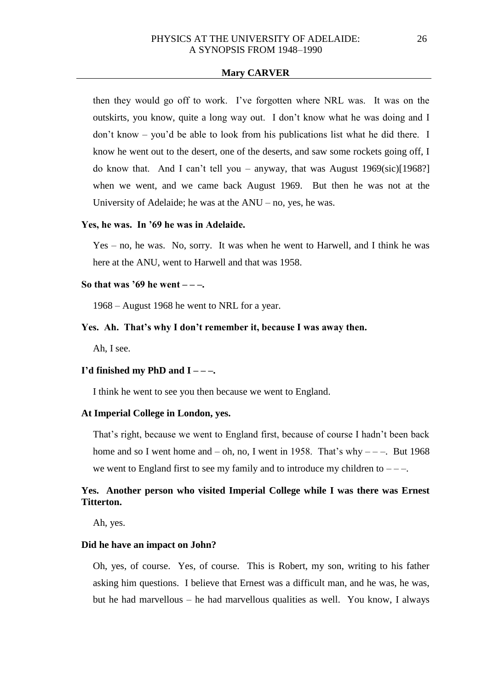then they would go off to work. I've forgotten where NRL was. It was on the outskirts, you know, quite a long way out. I don't know what he was doing and I don't know – you'd be able to look from his publications list what he did there. I know he went out to the desert, one of the deserts, and saw some rockets going off, I do know that. And I can't tell you – anyway, that was August  $1969(\text{sic})[1968?]$ when we went, and we came back August 1969. But then he was not at the University of Adelaide; he was at the ANU – no, yes, he was.

#### **Yes, he was. In '69 he was in Adelaide.**

Yes – no, he was. No, sorry. It was when he went to Harwell, and I think he was here at the ANU, went to Harwell and that was 1958.

# **So that was '69 he went – – –.**

1968 – August 1968 he went to NRL for a year.

### **Yes. Ah. That's why I don't remember it, because I was away then.**

Ah, I see.

#### **I'd finished my PhD and I – – –.**

I think he went to see you then because we went to England.

## **At Imperial College in London, yes.**

That's right, because we went to England first, because of course I hadn't been back home and so I went home and  $-$  oh, no, I went in 1958. That's why  $---$ . But 1968 we went to England first to see my family and to introduce my children to  $---$ .

# **Yes. Another person who visited Imperial College while I was there was Ernest Titterton.**

Ah, yes.

## **Did he have an impact on John?**

Oh, yes, of course. Yes, of course. This is Robert, my son, writing to his father asking him questions. I believe that Ernest was a difficult man, and he was, he was, but he had marvellous – he had marvellous qualities as well. You know, I always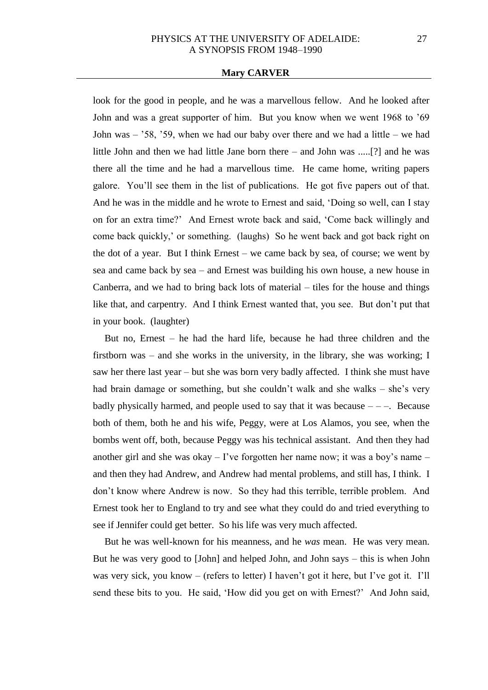look for the good in people, and he was a marvellous fellow. And he looked after John and was a great supporter of him. But you know when we went 1968 to '69 John was – '58, '59, when we had our baby over there and we had a little – we had little John and then we had little Jane born there – and John was .....[?] and he was there all the time and he had a marvellous time. He came home, writing papers galore. You'll see them in the list of publications. He got five papers out of that. And he was in the middle and he wrote to Ernest and said, 'Doing so well, can I stay on for an extra time?' And Ernest wrote back and said, 'Come back willingly and come back quickly,' or something. (laughs) So he went back and got back right on the dot of a year. But I think Ernest – we came back by sea, of course; we went by sea and came back by sea – and Ernest was building his own house, a new house in Canberra, and we had to bring back lots of material – tiles for the house and things like that, and carpentry. And I think Ernest wanted that, you see. But don't put that in your book. (laughter)

But no, Ernest – he had the hard life, because he had three children and the firstborn was – and she works in the university, in the library, she was working; I saw her there last year – but she was born very badly affected. I think she must have had brain damage or something, but she couldn't walk and she walks – she's very badly physically harmed, and people used to say that it was because  $---$ . Because both of them, both he and his wife, Peggy, were at Los Alamos, you see, when the bombs went off, both, because Peggy was his technical assistant. And then they had another girl and she was okay – I've forgotten her name now; it was a boy's name – and then they had Andrew, and Andrew had mental problems, and still has, I think. I don't know where Andrew is now. So they had this terrible, terrible problem. And Ernest took her to England to try and see what they could do and tried everything to see if Jennifer could get better. So his life was very much affected.

But he was well-known for his meanness, and he *was* mean. He was very mean. But he was very good to [John] and helped John, and John says – this is when John was very sick, you know – (refers to letter) I haven't got it here, but I've got it. I'll send these bits to you. He said, 'How did you get on with Ernest?' And John said,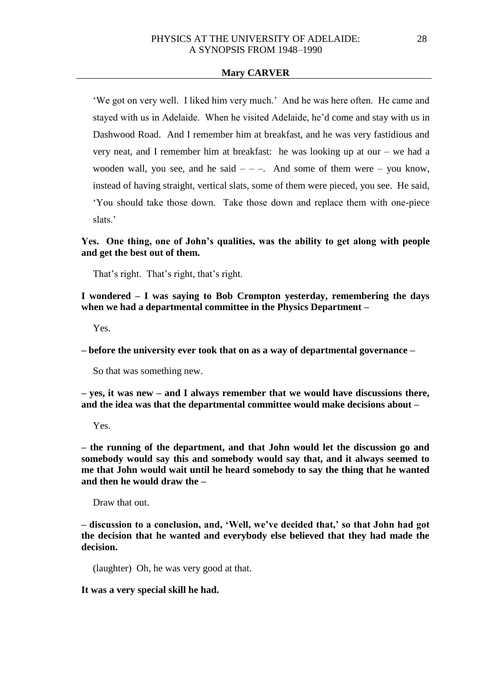'We got on very well. I liked him very much.' And he was here often. He came and stayed with us in Adelaide. When he visited Adelaide, he'd come and stay with us in Dashwood Road. And I remember him at breakfast, and he was very fastidious and very neat, and I remember him at breakfast: he was looking up at our – we had a wooden wall, you see, and he said  $-$  –  $-$ . And some of them were – you know, instead of having straight, vertical slats, some of them were pieced, you see. He said, 'You should take those down. Take those down and replace them with one-piece slats<sup>'</sup>

**Yes. One thing, one of John's qualities, was the ability to get along with people and get the best out of them.**

That's right. That's right, that's right.

**I wondered – I was saying to Bob Crompton yesterday, remembering the days when we had a departmental committee in the Physics Department –**

Yes.

**– before the university ever took that on as a way of departmental governance –**

So that was something new.

**– yes, it was new – and I always remember that we would have discussions there, and the idea was that the departmental committee would make decisions about –**

Yes.

**– the running of the department, and that John would let the discussion go and somebody would say this and somebody would say that, and it always seemed to me that John would wait until he heard somebody to say the thing that he wanted and then he would draw the –**

Draw that out.

**– discussion to a conclusion, and, 'Well, we've decided that,' so that John had got the decision that he wanted and everybody else believed that they had made the decision.** 

(laughter) Oh, he was very good at that.

**It was a very special skill he had.**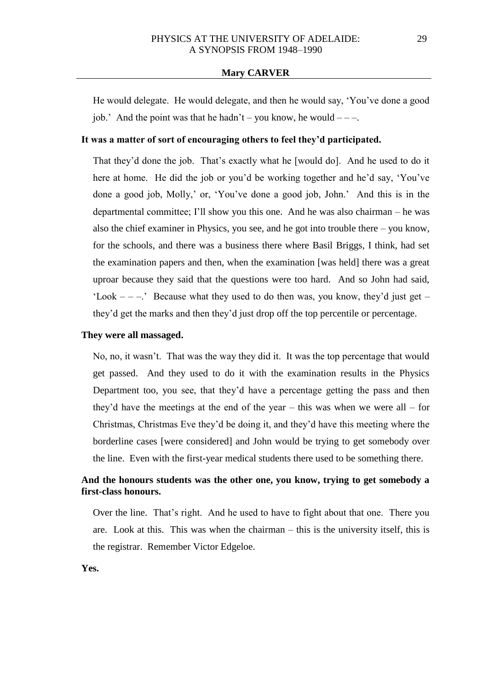He would delegate. He would delegate, and then he would say, 'You've done a good job.' And the point was that he hadn't – you know, he would  $---$ .

# **It was a matter of sort of encouraging others to feel they'd participated.**

That they'd done the job. That's exactly what he [would do]. And he used to do it here at home. He did the job or you'd be working together and he'd say, 'You've done a good job, Molly,' or, 'You've done a good job, John.' And this is in the departmental committee; I'll show you this one. And he was also chairman – he was also the chief examiner in Physics, you see, and he got into trouble there – you know, for the schools, and there was a business there where Basil Briggs, I think, had set the examination papers and then, when the examination [was held] there was a great uproar because they said that the questions were too hard. And so John had said, 'Look  $---$ .' Because what they used to do then was, you know, they'd just get – they'd get the marks and then they'd just drop off the top percentile or percentage.

### **They were all massaged.**

No, no, it wasn't. That was the way they did it. It was the top percentage that would get passed. And they used to do it with the examination results in the Physics Department too, you see, that they'd have a percentage getting the pass and then they'd have the meetings at the end of the year – this was when we were all – for Christmas, Christmas Eve they'd be doing it, and they'd have this meeting where the borderline cases [were considered] and John would be trying to get somebody over the line. Even with the first-year medical students there used to be something there.

# **And the honours students was the other one, you know, trying to get somebody a first-class honours.**

Over the line. That's right. And he used to have to fight about that one. There you are. Look at this. This was when the chairman – this is the university itself, this is the registrar. Remember Victor Edgeloe.

**Yes.**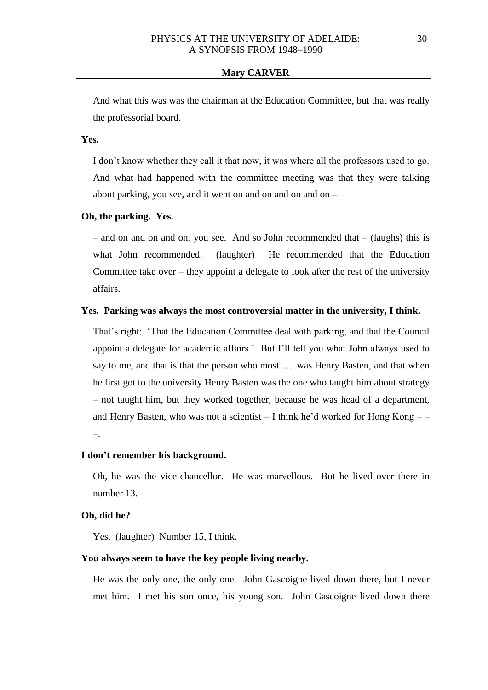And what this was was the chairman at the Education Committee, but that was really the professorial board.

## **Yes.**

I don't know whether they call it that now, it was where all the professors used to go. And what had happened with the committee meeting was that they were talking about parking, you see, and it went on and on and on and on  $-$ 

### **Oh, the parking. Yes.**

 $-$  and on and on and on, you see. And so John recommended that  $-$  (laughs) this is what John recommended. (laughter) He recommended that the Education Committee take over  $-$  they appoint a delegate to look after the rest of the university affairs.

### **Yes. Parking was always the most controversial matter in the university, I think.**

That's right: 'That the Education Committee deal with parking, and that the Council appoint a delegate for academic affairs.' But I'll tell you what John always used to say to me, and that is that the person who most ..... was Henry Basten, and that when he first got to the university Henry Basten was the one who taught him about strategy – not taught him, but they worked together, because he was head of a department, and Henry Basten, who was not a scientist  $-$  I think he'd worked for Hong Kong  $-$ –.

## **I don't remember his background.**

Oh, he was the vice-chancellor. He was marvellous. But he lived over there in number 13.

### **Oh, did he?**

Yes. (laughter) Number 15, I think.

### **You always seem to have the key people living nearby.**

He was the only one, the only one. John Gascoigne lived down there, but I never met him. I met his son once, his young son. John Gascoigne lived down there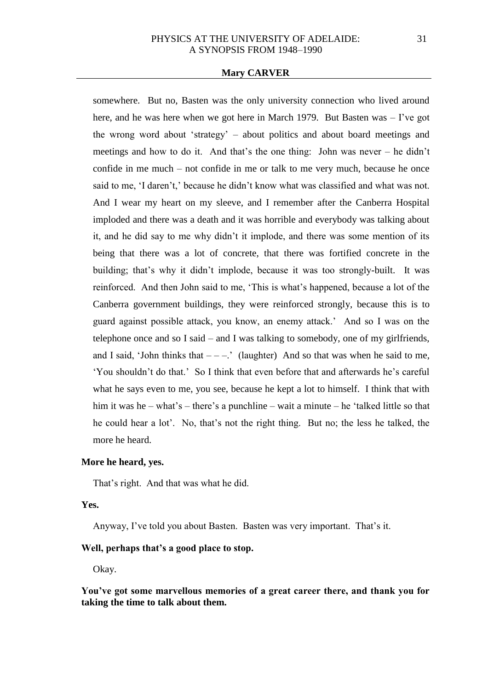somewhere. But no, Basten was the only university connection who lived around here, and he was here when we got here in March 1979. But Basten was  $-$  I've got the wrong word about 'strategy' – about politics and about board meetings and meetings and how to do it. And that's the one thing: John was never – he didn't confide in me much – not confide in me or talk to me very much, because he once said to me, 'I daren't,' because he didn't know what was classified and what was not. And I wear my heart on my sleeve, and I remember after the Canberra Hospital imploded and there was a death and it was horrible and everybody was talking about it, and he did say to me why didn't it implode, and there was some mention of its being that there was a lot of concrete, that there was fortified concrete in the building; that's why it didn't implode, because it was too strongly-built. It was reinforced. And then John said to me, 'This is what's happened, because a lot of the Canberra government buildings, they were reinforced strongly, because this is to guard against possible attack, you know, an enemy attack.' And so I was on the telephone once and so I said – and I was talking to somebody, one of my girlfriends, and I said, 'John thinks that  $---$ .' (laughter) And so that was when he said to me, 'You shouldn't do that.' So I think that even before that and afterwards he's careful what he says even to me, you see, because he kept a lot to himself. I think that with him it was he – what's – there's a punchline – wait a minute – he 'talked little so that he could hear a lot'. No, that's not the right thing. But no; the less he talked, the more he heard.

# **More he heard, yes.**

That's right. And that was what he did.

# **Yes.**

Anyway, I've told you about Basten. Basten was very important. That's it.

### **Well, perhaps that's a good place to stop.**

Okay.

**You've got some marvellous memories of a great career there, and thank you for taking the time to talk about them.**